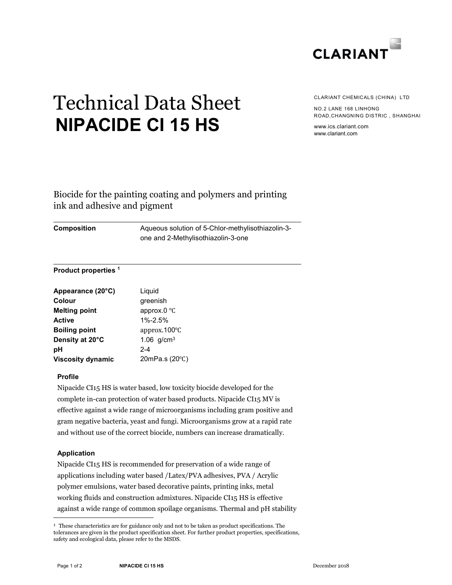

# Technical Data Sheet NIPACIDE CI 15 HS

CLARIANT CHEMICALS (CHINA) LTD

NO.2 LANE 168 LINHONG ROAD,CHANGNING DISTRIC , SHANGHAI

www.ics.clariant.com www.clariant.com

# Biocide for the painting coating and polymers and printing ink and adhesive and pigment

Composition Aqueous solution of 5-Chlor-methylisothiazolin-3 one and 2-Methylisothiazolin-3-one

# Product properties <sup>1</sup>

| Appearance (20°C)        | Liquid                 |
|--------------------------|------------------------|
| Colour                   | greenish               |
| <b>Melting point</b>     | approx.0 $\degree$ C   |
| Active                   | 1%-2.5%                |
| <b>Boiling point</b>     | approx.100 $\degree$ C |
| Density at 20°C          | 1.06 $q/cm^{3}$        |
| рH                       | $2 - 4$                |
| <b>Viscosity dynamic</b> | 20mPa.s (20°C)         |

# Profile

Nipacide CI15 HS is water based, low toxicity biocide developed for the complete in-can protection of water based products. Nipacide CI15 MV is effective against a wide range of microorganisms including gram positive and gram negative bacteria, yeast and fungi. Microorganisms grow at a rapid rate and without use of the correct biocide, numbers can increase dramatically.

# Application

-

Nipacide CI15 HS is recommended for preservation of a wide range of applications including water based /Latex/PVA adhesives, PVA / Acrylic polymer emulsions, water based decorative paints, printing inks, metal working fluids and construction admixtures. Nipacide CI15 HS is effective against a wide range of common spoilage organisms. Thermal and pH stability

<sup>&</sup>lt;sup>1</sup> These characteristics are for guidance only and not to be taken as product specifications. The tolerances are given in the product specification sheet. For further product properties, specifications, safety and ecological data, please refer to the MSDS.